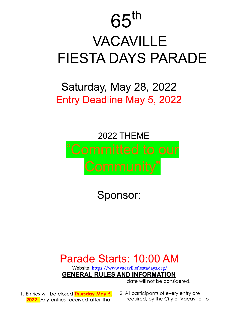# $65$ th **VACAVILLE FIESTA DAYS PARADE**

## Saturday, May 28, 2022 Entry Deadline May 5, 2022

# 2022 THEME "Committed to our

Sponsor:

## Parade Starts: 10:00 AM

Website: https://www.vacavillefiestadays.org/ **GENERAL RULES AND INFORMATION** 

date will not be considered.

- 1. Entries will be closed Thursday May 5, 2022. Any entries received after that
- 2. All participants of every entry are required, by the City of Vacaville, to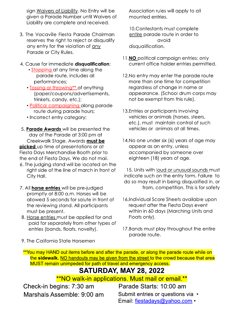sign <u>waivers of Liability</u>. No Entry will be given a Parade Number until walvers of LIADIIITY Are complete and received.

- 3. The vacaville Flesta Parade Chairman reserves the right to reject or disquality any entry for the violation of <u>any</u> Parade or City Ruies. ability are complete and received.<br>
LO.Conte<br>
e Vacaville Fiesta Parade Chairman<br>
serves the right to reject or disquality<br>
or the violation of <u>any</u><br>
arade or City Rules.<br>
<br>
stropping at any time along the<br>
parade route,
- 4. Cause for immediat
	- <u>• Stopping at</u> any time along the parade route, includes all performances;
	- <u>Tossing or throwing\*\*\*</u> of anything (paper/coupons/aavertisements, trinkets, canay, etc.);
	- <u>• Polifical campaigning </u>along parade route during parade nours;
	- Incorrect entry category;
- 5. <mark>Parade Awards</mark> will be presented the aay of the Parade af 3:00 pm af Creekwalk Stage. Awaras <mark>must be</mark> • Political campaig<br>route during pa<br>• Incorrect entry co<br>5. Parade Awards will<br>day of the Parade<br>Creekwalk Stage.<br>Picked up time of present<br>Fiesta Days Merchand<br>the end of Fiesta Days<br>6. The judging stand weright side of t time of presentations or at Flesta Days Merchanaise Booth prior to the end of Fiesta Days. We do not mail.
	- 6. The judging stand will be located on the right side of the line of march in front of City Hail.
	- /. All <mark>norse entries</mark> will be pre-judged **picked** up time of presentations or c<br>Fiesta Days Merchandise Booth prior<br>the end of Fiesta Days. We do not m<br>6. The judging stand will be located<br>right side of the line of march in f<br>City Hall.<br>7. All **horse entries** wil promptly at 8:00 a.m. Horses will be allowed 5 seconds for salute in front of the reviewing stand. All participants must be present.
		- 8. <u>Horse entries must be applied for and </u> paid for separately from other types of entries (banas, tioats, noveity).

Association rules will apply to all mounted entries.

TU.Confestants must complete <u>entire</u> parade route in order to avoia aisqualification.

- **TT. NO political campaign entries; only** current office noider enfries permiffed.
- 12.No entry may enter the parade route more fhan one filme for competifion regaraiess of change in name or appearance. (School arum corps may not be exempt from this rule).
- T3. Entries or participants involving venicles or animals (norses, steers, efc.), must mainfain confroi of such venicies or animais at all times.
- T4.No one under six (6) years of age may appear as an entry, uniess accompanied by someone over eignteen (18) years of age.

TS. UNITS WITH <u>TOUG OF UNUSUAL SOUNGS MUST</u> indicate such on the entry form. Fallure fo do so may result in being disqualitied in, or from, competition. This is for safety

- **16. Individual Score Sheets dvalidble upon** request affer the Fiesta Days event within in 60 days (Marching Units and Floats only).
- TZ.Bands must play throughout the entire parade route.

9. The California state Horsemen

<u>of you may HAND out items before and after the parade, or along the parade route while on the</u> the sidewalk. <u>NO handouts may be given from the street t</u>o the crowd because that area  $\overline{\text{m}}$ UST remain unimpeded for path of travel and emergency access.

### **SATURDAY, MAY 28, 2022**

<u>"NO walk-in applications. Must mail or email.""</u>

 $C$ heck-in begins:  $7:30$  am  $Marsnais Assume from  $9:00$  am$ 

 $P^2$ arade Starts: 10:00 am Submit entries or questions via  $\, \cdot \,$ Email: fiestadays@yahoo.com  $\cdot$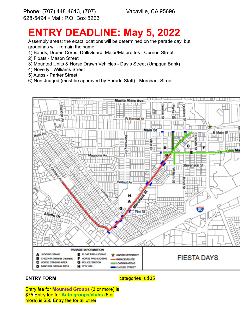Vacaville, CA 95696

## **ENTRY DEADLINE: May 5, 2022**

Assembly areas: the exact locations will be determined on the parade day, but groupings will remain the same.

- 1) Bands, Drums Corps, Drill/Guard, Major/Majorettes Cernon Street
- 2) Floats Mason Street
- 3) Mounted Units & Horse Drawn Vehicles Davis Street (Umpqua Bank)
- 4) Novelty Williams Street
- 5) Autos Parker Street
- 6) Non-Judged (must be approved by Parade Staff) Merchant Street



#### **ENTRY FORM**

categories is \$35

Entry fee for Mounted Groups (3 or more) is \$75 Entry fee for Auto groups/clubs (5 or more) is \$50 Entry fee for all other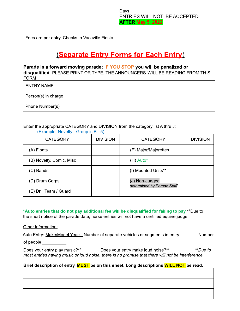Days. ENTRIES WILL NOT BE ACCEPTED **AFTER May 5, 2022** 

Fees are per entry. Checks to Vacaville Fiesta

### **(Separate Entry Forms for Each Entry)**

#### Parade is a forward moving parade; IF YOU STOP you will be penalized or

disqualified. PLEASE PRINT OR TYPE, THE ANNOUNCERS WILL BE READING FROM THIS FORM.

| <b>ENTRY NAME</b>   |  |
|---------------------|--|
| Person(s) in charge |  |
| Phone Number(s)     |  |

Enter the appropriate CATEGORY and DIVISION from the category list A thru J:

| <b>CATEGORY</b>          | <b>DIVISION</b> | <b>CATEGORY</b>                              | <b>DIVISION</b> |
|--------------------------|-----------------|----------------------------------------------|-----------------|
| (A) Floats               |                 | (F) Major/Majorettes                         |                 |
| (B) Novelty, Comic, Misc |                 | $(H)$ Auto*                                  |                 |
| (C) Bands                |                 | (I) Mounted Units**                          |                 |
| (D) Drum Corps           |                 | (J) Non-Judged<br>determined by Parade Staff |                 |
| (E) Drill Team / Guard   |                 |                                              |                 |

(Example: Novelty - Group is B - 5)

\*Auto entries that do not pay additional fee will be disqualified for failing to pay \*\*Due to the short notice of the parade date, horse entries will not have a certified equine judge

Other information:

|           | Auto Entry: Make/Model Year: . Number of separate vehicles or segments in entry ____ | Number |
|-----------|--------------------------------------------------------------------------------------|--------|
| of people |                                                                                      |        |

Does your entry play music?\*\* \_\_\_\_\_\_\_\_ Does your entry make loud noise?\*\* \_\_\_\_\_\_\_\_ \*\*Due to most entries having music or loud noise, there is no promise that there will not be interference.

#### Brief description of entry. MUST be on this sheet. Long descriptions WILL NOT be read.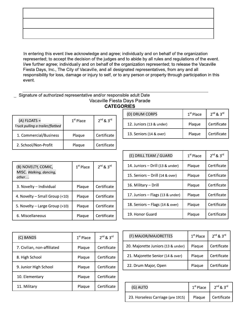In entering this event I/we acknowledge and agree; individually and on behalf of the organization represented; to accept the decision of the judges and to abide by all rules and regulations of the event. I/we further agree; individually and on behalf of the organization represented; to release the Vacaville Fiesta Days, Inc., The City of Vacaville, and all designated representatives, from any and all responsibility for loss, damage or injury to self, or to any person or property through participation in this event.

#### Signature of authorized representative and/or responsible adult Date Vacaville Fiesta Days Parade **CATEGORIES**

|                                                   |             |               | (D) DRUM CORPS         |
|---------------------------------------------------|-------------|---------------|------------------------|
| $(A)$ FLOATS =<br>Truck pulling a trailer/flatbed | $1st$ Place | $2nd$ & $3rd$ | 12. Juniors (13 & unde |
| 1. Commercial/Business                            | Plaque      | Certificate   | 13. Seniors (14 & over |
| 2. School/Non-Profit                              | Plaque      | Certificate   |                        |

| (B) NOVELTY, COMIC,<br>MISC. Walking, dancing,<br>other | $1st$ Place | $2^{nd}$ & $3^{rd}$ |
|---------------------------------------------------------|-------------|---------------------|
| 3. Novelty - Individual                                 | Plaque      | Certificate         |
| 4. Novelty - Small Group (<10)                          | Plaque      | Certificate         |
| 5. Novelty - Large Group (>10)                          | Plaque      | Certificate         |
| 6. Miscellaneous                                        | Plaque      | Certificate         |

| $1st$ Place | $2nd$ & $3rd$ |
|-------------|---------------|
| Plaque      | Certificate   |
| Plaque      | Certificate   |
|             |               |

| (E) DRILL TEAM / GUARD           | $1st$ Place | $2^{nd}$ & $3^{rd}$ |
|----------------------------------|-------------|---------------------|
| 14. Juniors - Drill (13 & under) | Plaque      | Certificate         |
| 15. Seniors - Drill (14 & over)  | Plaque      | Certificate         |
| 16. Military - Drill             | Plaque      | Certificate         |
| 17. Juniors - Flags (13 & under) | Plaque      | Certificate         |
| 18. Seniors - Flags (14 & over)  | Plaque      | Certificate         |
| 19. Honor Guard                  | Plague      | Certificate         |

| (C) BANDS                   | $1st$ Place | $2nd$ & $3rd$ |
|-----------------------------|-------------|---------------|
| 7. Civilian, non-affiliated | Plaque      | Certificate   |
| 8. High School              | Plaque      | Certificate   |
| 9. Junior High School       | Plaque      | Certificate   |
| 10. Elementary              | Plaque      | Certificate   |
| 11. Military                | Plaque      | Certificate   |

| (F) MAJOR/MAJORETTES               | $1st$ Place | $2nd$ & $3rd$ |
|------------------------------------|-------------|---------------|
| 20. Majorette Juniors (13 & under) | Plaque      | Certificate   |
| 21. Majorette Senior (14 & over)   | Plaque      | Certificate   |
| 22. Drum Major, Open               | Plaque      | Certificate   |

| (G) AUTO                          | $1st$ Place | $2^{nd}$ & $3^{rd}$  |
|-----------------------------------|-------------|----------------------|
| 23. Horseless Carriage (pre 1915) |             | Plaque   Certificate |